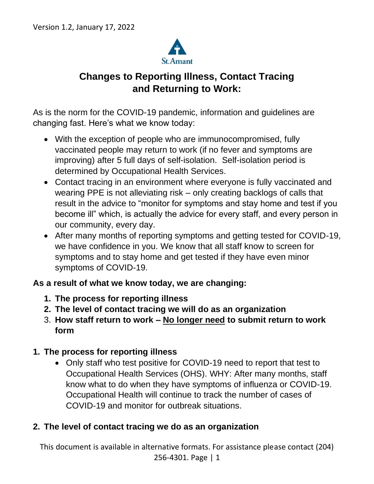

# **Changes to Reporting Illness, Contact Tracing and Returning to Work:**

As is the norm for the COVID-19 pandemic, information and guidelines are changing fast. Here's what we know today:

- With the exception of people who are immunocompromised, fully vaccinated people may return to work (if no fever and symptoms are improving) after 5 full days of self-isolation. Self-isolation period is determined by Occupational Health Services.
- Contact tracing in an environment where everyone is fully vaccinated and wearing PPE is not alleviating risk – only creating backlogs of calls that result in the advice to "monitor for symptoms and stay home and test if you become ill" which, is actually the advice for every staff, and every person in our community, every day.
- After many months of reporting symptoms and getting tested for COVID-19, we have confidence in you. We know that all staff know to screen for symptoms and to stay home and get tested if they have even minor symptoms of COVID-19.

#### **As a result of what we know today, we are changing:**

- **1. The process for reporting illness**
- **2. The level of contact tracing we will do as an organization**
- 3. **How staff return to work – No longer need to submit return to work form**

#### **1. The process for reporting illness**

• Only staff who test positive for COVID-19 need to report that test to Occupational Health Services (OHS). WHY: After many months, staff know what to do when they have symptoms of influenza or COVID-19. Occupational Health will continue to track the number of cases of COVID-19 and monitor for outbreak situations.

#### **2. The level of contact tracing we do as an organization**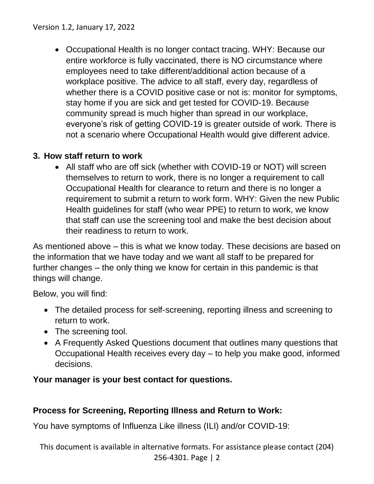• Occupational Health is no longer contact tracing. WHY: Because our entire workforce is fully vaccinated, there is NO circumstance where employees need to take different/additional action because of a workplace positive. The advice to all staff, every day, regardless of whether there is a COVID positive case or not is: monitor for symptoms, stay home if you are sick and get tested for COVID-19. Because community spread is much higher than spread in our workplace, everyone's risk of getting COVID-19 is greater outside of work. There is not a scenario where Occupational Health would give different advice.

# **3. How staff return to work**

• All staff who are off sick (whether with COVID-19 or NOT) will screen themselves to return to work, there is no longer a requirement to call Occupational Health for clearance to return and there is no longer a requirement to submit a return to work form. WHY: Given the new Public Health guidelines for staff (who wear PPE) to return to work, we know that staff can use the screening tool and make the best decision about their readiness to return to work.

As mentioned above – this is what we know today. These decisions are based on the information that we have today and we want all staff to be prepared for further changes – the only thing we know for certain in this pandemic is that things will change.

Below, you will find:

- The detailed process for self-screening, reporting illness and screening to return to work.
- The screening tool.
- A Frequently Asked Questions document that outlines many questions that Occupational Health receives every day – to help you make good, informed decisions.

# **Your manager is your best contact for questions.**

# **Process for Screening, Reporting Illness and Return to Work:**

You have symptoms of Influenza Like illness (ILI) and/or COVID-19: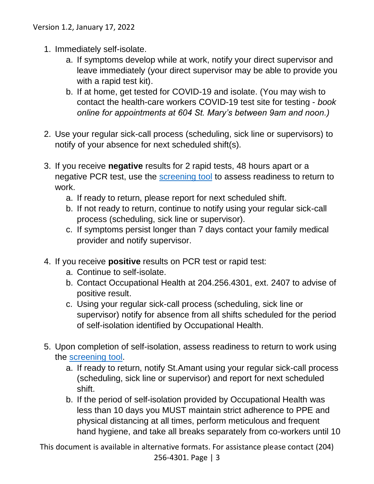- 1. Immediately self-isolate.
	- a. If symptoms develop while at work, notify your direct supervisor and leave immediately (your direct supervisor may be able to provide you with a rapid test kit).
	- b. If at home, get tested for COVID-19 and isolate. (You may wish to contact the health-care workers COVID-19 test site for testing - *book online for appointments at 604 St. Mary's between 9am and noon.)*
- 2. Use your regular sick-call process (scheduling, sick line or supervisors) to notify of your absence for next scheduled shift(s).
- 3. If you receive **negative** results for 2 rapid tests, 48 hours apart or a negative PCR test, use the [screening tool](#page-3-0) to assess readiness to return to work.
	- a. If ready to return, please report for next scheduled shift.
	- b. If not ready to return, continue to notify using your regular sick-call process (scheduling, sick line or supervisor).
	- c. If symptoms persist longer than 7 days contact your family medical provider and notify supervisor.
- 4. If you receive **positive** results on PCR test or rapid test:
	- a. Continue to self-isolate.
	- b. Contact Occupational Health at 204.256.4301, ext. 2407 to advise of positive result.
	- c. Using your regular sick-call process (scheduling, sick line or supervisor) notify for absence from all shifts scheduled for the period of self-isolation identified by Occupational Health.
- 5. Upon completion of self-isolation, assess readiness to return to work using the [screening tool.](#page-3-0)
	- a. If ready to return, notify St.Amant using your regular sick-call process (scheduling, sick line or supervisor) and report for next scheduled shift.
	- b. If the period of self-isolation provided by Occupational Health was less than 10 days you MUST maintain strict adherence to PPE and physical distancing at all times, perform meticulous and frequent hand hygiene, and take all breaks separately from co-workers until 10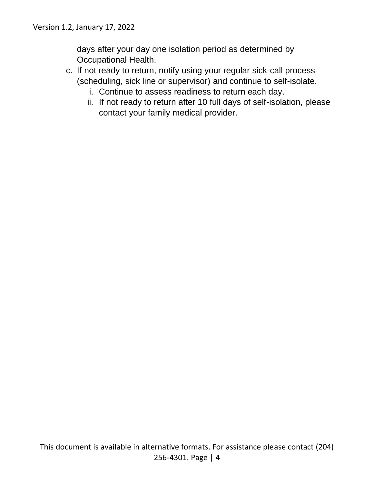days after your day one isolation period as determined by Occupational Health.

- <span id="page-3-0"></span>c. If not ready to return, notify using your regular sick-call process (scheduling, sick line or supervisor) and continue to self-isolate.
	- i. Continue to assess readiness to return each day.
	- ii. If not ready to return after 10 full days of self-isolation, please contact your family medical provider.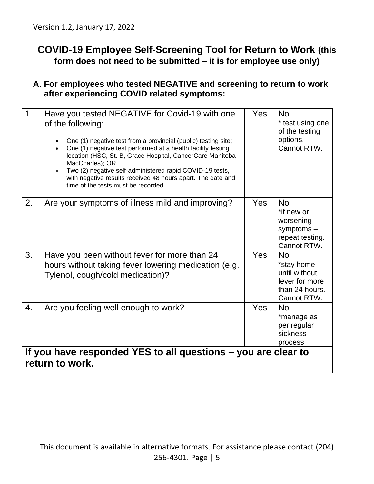# **COVID-19 Employee Self-Screening Tool for Return to Work (this form does not need to be submitted – it is for employee use only)**

#### **A. For employees who tested NEGATIVE and screening to return to work after experiencing COVID related symptoms:**

| 1.                                                                               | Have you tested NEGATIVE for Covid-19 with one<br>of the following:<br>One (1) negative test from a provincial (public) testing site;<br>One (1) negative test performed at a health facility testing<br>location (HSC, St. B, Grace Hospital, CancerCare Manitoba<br>MacCharles); OR<br>Two (2) negative self-administered rapid COVID-19 tests,<br>$\bullet$<br>with negative results received 48 hours apart. The date and<br>time of the tests must be recorded. | Yes | <b>No</b><br>* test using one<br>of the testing<br>options.<br>Cannot RTW.                  |  |
|----------------------------------------------------------------------------------|----------------------------------------------------------------------------------------------------------------------------------------------------------------------------------------------------------------------------------------------------------------------------------------------------------------------------------------------------------------------------------------------------------------------------------------------------------------------|-----|---------------------------------------------------------------------------------------------|--|
| 2.                                                                               | Are your symptoms of illness mild and improving?                                                                                                                                                                                                                                                                                                                                                                                                                     | Yes | <b>No</b><br>*if new or<br>worsening<br>symptoms $-$<br>repeat testing.<br>Cannot RTW.      |  |
| 3.                                                                               | Have you been without fever for more than 24<br>hours without taking fever lowering medication (e.g.<br>Tylenol, cough/cold medication)?                                                                                                                                                                                                                                                                                                                             | Yes | <b>No</b><br>*stay home<br>until without<br>fever for more<br>than 24 hours.<br>Cannot RTW. |  |
| 4.                                                                               | Are you feeling well enough to work?                                                                                                                                                                                                                                                                                                                                                                                                                                 | Yes | <b>No</b><br>*manage as<br>per regular<br>sickness<br>process                               |  |
| If you have responded YES to all questions - you are clear to<br>return to work. |                                                                                                                                                                                                                                                                                                                                                                                                                                                                      |     |                                                                                             |  |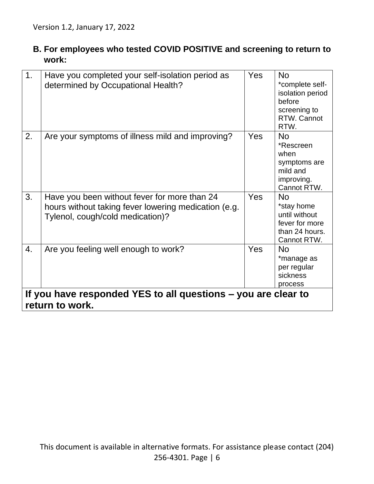# **B. For employees who tested COVID POSITIVE and screening to return to work:**

| 1 <sub>1</sub>                                                                   | Have you completed your self-isolation period as<br>determined by Occupational Health?                                                   | <b>Yes</b> | <b>No</b><br>*complete self-<br>isolation period<br>before<br>screening to<br>RTW. Cannot<br>RTW. |  |
|----------------------------------------------------------------------------------|------------------------------------------------------------------------------------------------------------------------------------------|------------|---------------------------------------------------------------------------------------------------|--|
| 2.                                                                               | Are your symptoms of illness mild and improving?                                                                                         | <b>Yes</b> | <b>No</b><br>*Rescreen<br>when<br>symptoms are<br>mild and<br>improving.<br>Cannot RTW.           |  |
| 3.                                                                               | Have you been without fever for more than 24<br>hours without taking fever lowering medication (e.g.<br>Tylenol, cough/cold medication)? | <b>Yes</b> | <b>No</b><br>*stay home<br>until without<br>fever for more<br>than 24 hours.<br>Cannot RTW.       |  |
| 4.                                                                               | Are you feeling well enough to work?                                                                                                     | Yes        | <b>No</b><br>*manage as<br>per regular<br>sickness<br>process                                     |  |
| If you have responded YES to all questions – you are clear to<br>return to work. |                                                                                                                                          |            |                                                                                                   |  |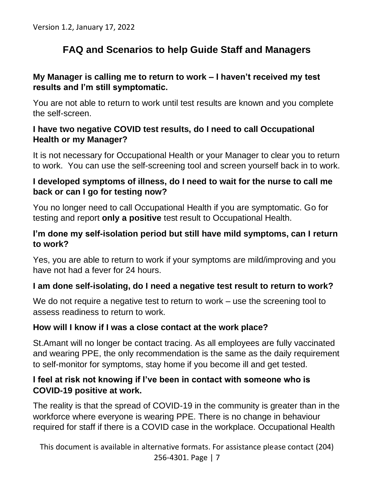# **FAQ and Scenarios to help Guide Staff and Managers**

## **My Manager is calling me to return to work – I haven't received my test results and I'm still symptomatic.**

You are not able to return to work until test results are known and you complete the self-screen.

## **I have two negative COVID test results, do I need to call Occupational Health or my Manager?**

It is not necessary for Occupational Health or your Manager to clear you to return to work. You can use the self-screening tool and screen yourself back in to work.

#### **I developed symptoms of illness, do I need to wait for the nurse to call me back or can I go for testing now?**

You no longer need to call Occupational Health if you are symptomatic. Go for testing and report **only a positive** test result to Occupational Health.

#### **I'm done my self-isolation period but still have mild symptoms, can I return to work?**

Yes, you are able to return to work if your symptoms are mild/improving and you have not had a fever for 24 hours.

#### **I am done self-isolating, do I need a negative test result to return to work?**

We do not require a negative test to return to work – use the screening tool to assess readiness to return to work.

# **How will I know if I was a close contact at the work place?**

St.Amant will no longer be contact tracing. As all employees are fully vaccinated and wearing PPE, the only recommendation is the same as the daily requirement to self-monitor for symptoms, stay home if you become ill and get tested.

## **I feel at risk not knowing if I've been in contact with someone who is COVID-19 positive at work.**

The reality is that the spread of COVID-19 in the community is greater than in the workforce where everyone is wearing PPE. There is no change in behaviour required for staff if there is a COVID case in the workplace. Occupational Health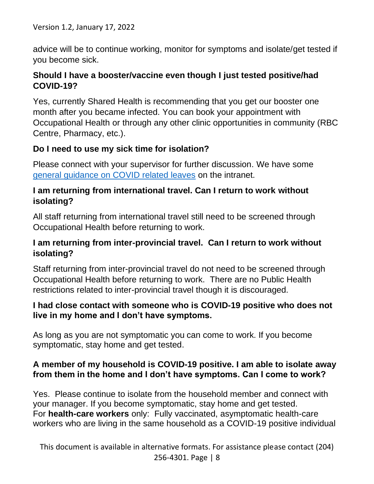Version 1.2, January 17, 2022

advice will be to continue working, monitor for symptoms and isolate/get tested if you become sick.

#### **Should I have a booster/vaccine even though I just tested positive/had COVID-19?**

Yes, currently Shared Health is recommending that you get our booster one month after you became infected. You can book your appointment with Occupational Health or through any other clinic opportunities in community (RBC Centre, Pharmacy, etc.).

#### **Do I need to use my sick time for isolation?**

Please connect with your supervisor for further discussion. We have some [general guidance on COVID related leaves](https://my.stamant.ca/appdata/pages_text_component/images/Covid%20Related%20Time%20Away%20From%20Work%20Dec%2024.pdf) on the intranet.

#### **I am returning from international travel. Can I return to work without isolating?**

All staff returning from international travel still need to be screened through Occupational Health before returning to work.

#### **I am returning from inter-provincial travel. Can I return to work without isolating?**

Staff returning from inter-provincial travel do not need to be screened through Occupational Health before returning to work. There are no Public Health restrictions related to inter-provincial travel though it is discouraged.

#### **I had close contact with someone who is COVID-19 positive who does not live in my home and I don't have symptoms.**

As long as you are not symptomatic you can come to work. If you become symptomatic, stay home and get tested.

#### **A member of my household is COVID-19 positive. I am able to isolate away from them in the home and I don't have symptoms. Can I come to work?**

Yes. Please continue to isolate from the household member and connect with your manager. If you become symptomatic, stay home and get tested. For **health-care workers** only: Fully vaccinated, asymptomatic health-care workers who are living in the same household as a COVID-19 positive individual